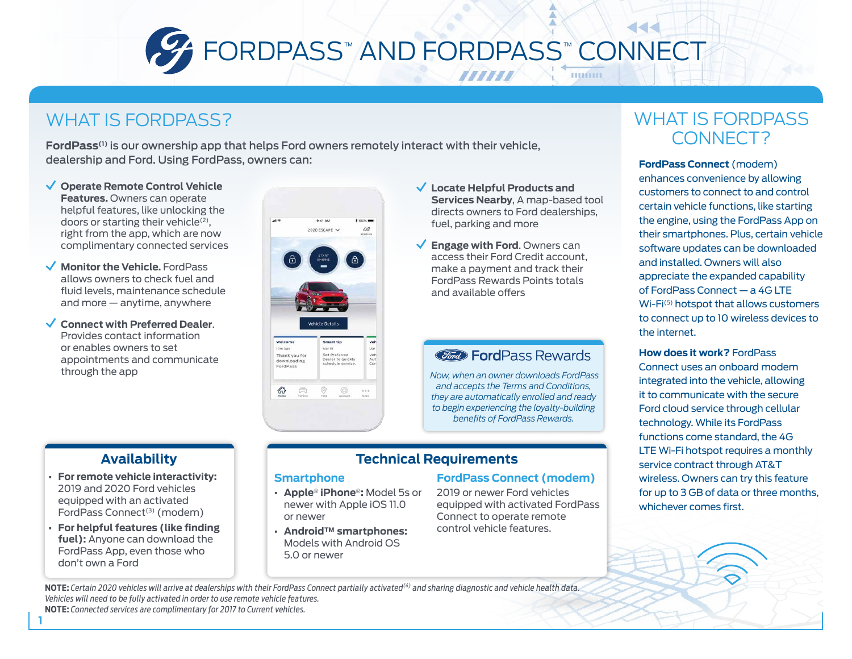

### WHAT IS FORDPASS?

**FordPass(1)** is our ownership app that helps Ford owners remotely interact with their vehicle, dealership and Ford. Using FordPass, owners can: **FordPass Connect** (modem)

- **Operate Remote Control Vehicle Features.** Owners can operate helpful features, like unlocking the doors or starting their vehicle<sup>(2)</sup>, right from the app, which are now complimentary connected services
- **Monitor the Vehicle.** FordPass allows owners to check fuel and fluid levels, maintenance schedule and more — anytime, anywhere
- **Connect with Preferred Dealer**. Provides contact information or enables owners to set appointments and communicate through the app



- **Locate Helpful Products and Services Nearby**, A map-based tool directs owners to Ford dealerships, fuel, parking and more
- **Engage with Ford**. Owners can access their Ford Credit account, make a payment and track their FordPass Rewards Points totals and available offers

#### *Cord* FordPass Rewards

*Now, when an owner downloads FordPass and accepts the Terms and Conditions, they are automatically enrolled and ready to begin experiencing the loyalty-building benefits of FordPass Rewards.*

#### **Technical Requirements**

#### **Smartphone**

- **• Apple**® **iPhone**®**:** Model 5s or newer with Apple iOS 11.0 or newer
- **• Android™ smartphones:** Models with Android OS 5.0 or newer

#### **FordPass Connect (modem)**

2019 or newer Ford vehicles equipped with activated FordPass Connect to operate remote control vehicle features.

### WHAT IS FORDPASS CONNECT?

enhances convenience by allowing customers to connect to and control certain vehicle functions, like starting the engine, using the FordPass App on their smartphones. Plus, certain vehicle software updates can be downloaded and installed. Owners will also appreciate the expanded capability of FordPass Connect — a 4G LTE Wi-Fi<sup>(5)</sup> hotspot that allows customers to connect up to 10 wireless devices to the internet.

**How does it work?** FordPass Connect uses an onboard modem integrated into the vehicle, allowing it to communicate with the secure Ford cloud service through cellular technology. While its FordPass functions come standard, the 4G LTE Wi-Fi hotspot requires a monthly service contract through AT&T wireless. Owners can try this feature for up to 3 GB of data or three months, whichever comes first.

## **Availability**

- **• For remote vehicle interactivity:** 2019 and 2020 Ford vehicles equipped with an activated FordPass Connect<sup>(3)</sup> (modem)
- **• For helpful features (like finding fuel):** Anyone can download the FordPass App, even those who don't own a Ford

**1**

**NOTE:** *Certain 2020 vehicles will arrive at dealerships with their FordPass Connect partially activated(4) and sharing diagnostic and vehicle health data. Vehicles will need to be fully activated in order to use remote vehicle features.* **NOTE:** *Connected services are complimentary for 2017 to Current vehicles.*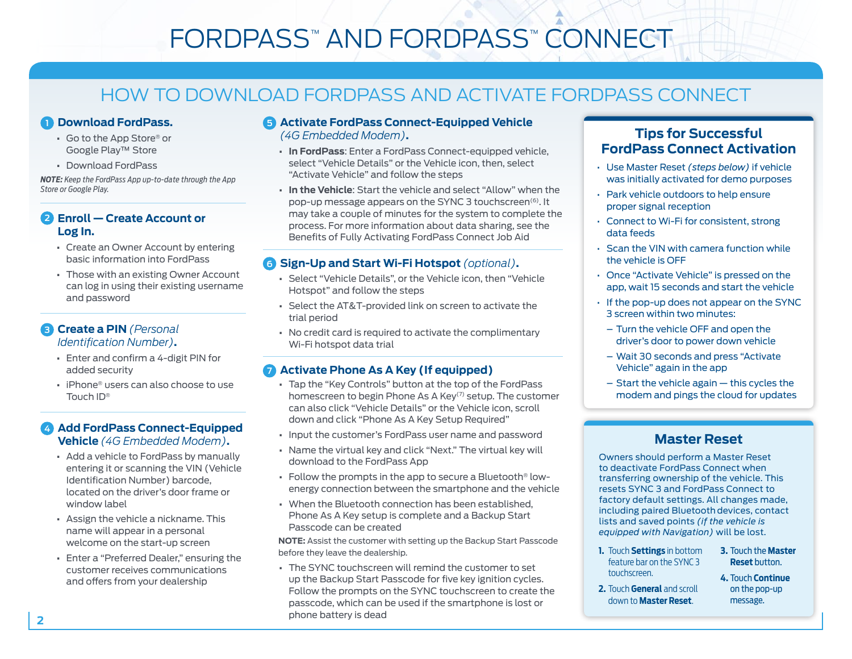# FORDPASS™ AND FORDPASS™ CONNECT

## HOW TO DOWNLOAD FORDPASS AND ACTIVATE FORDPASS CONNECT

#### **1 Download FordPass.**

- **•** Go to the App Store® or Google Play™ Store
- **•** Download FordPass

*NOTE: Keep the FordPass App up-to-date through the App Store or Google Play.*

#### **2 Enroll — Create Account or Log In.**

- **•** Create an Owner Account by entering basic information into FordPass
- **•** Those with an existing Owner Account can log in using their existing username and password

#### **3 Create a PIN** *(Personal Identification Number)***.**

- **•** Enter and confirm a 4-digit PIN for added security
- **•** iPhone® users can also choose to use Touch ID®

#### **4 Add FordPass Connect-Equipped Vehicle** *(4G Embedded Modem)***.**

- **•** Add a vehicle to FordPass by manually entering it or scanning the VIN (Vehicle Identification Number) barcode, located on the driver's door frame or window label
- **•** Assign the vehicle a nickname. This name will appear in a personal welcome on the start-up screen
- **•** Enter a "Preferred Dealer," ensuring the customer receives communications and offers from your dealership

#### **5 Activate FordPass Connect-Equipped Vehicle**  *(4G Embedded Modem)***.**

- **• In FordPass**: Enter a FordPass Connect-equipped vehicle, select "Vehicle Details" or the Vehicle icon, then, select "Activate Vehicle" and follow the steps
- **• In the Vehicle**: Start the vehicle and select "Allow" when the pop-up message appears on the SYNC 3 touchscreen(6). It may take a couple of minutes for the system to complete the process. For more information about data sharing, see the Benefits of Fully Activating FordPass Connect Job Aid

#### **6 Sign-Up and Start Wi-Fi Hotspot** *(optional)***.**

- **•** Select "Vehicle Details", or the Vehicle icon, then "Vehicle Hotspot" and follow the steps
- **•** Select the AT&T-provided link on screen to activate the trial period
- **•** No credit card is required to activate the complimentary Wi-Fi hotspot data trial

#### **7 Activate Phone As A Key (If equipped)**

- **•** Tap the "Key Controls" button at the top of the FordPass homescreen to begin Phone As A Key(7) setup. The customer can also click "Vehicle Details" or the Vehicle icon, scroll down and click "Phone As A Key Setup Required"
- **•** Input the customer's FordPass user name and password
- **•** Name the virtual key and click "Next." The virtual key will download to the FordPass App
- **•** Follow the prompts in the app to secure a Bluetooth® lowenergy connection between the smartphone and the vehicle
- **•** When the Bluetooth connection has been established, Phone As A Key setup is complete and a Backup Start Passcode can be created

**NOTE:** Assist the customer with setting up the Backup Start Passcode before they leave the dealership.

**•** The SYNC touchscreen will remind the customer to set up the Backup Start Passcode for five key ignition cycles. Follow the prompts on the SYNC touchscreen to create the passcode, which can be used if the smartphone is lost or phone battery is dead

#### **Tips for Successful FordPass Connect Activation**

- Use Master Reset *(steps below)* if vehicle was initially activated for demo purposes
- Park vehicle outdoors to help ensure proper signal reception
- Connect to Wi-Fi for consistent, strong data feeds
- Scan the VIN with camera function while the vehicle is OFF
- Once "Activate Vehicle" is pressed on the app, wait 15 seconds and start the vehicle
- If the pop-up does not appear on the SYNC 3 screen within two minutes:
- Turn the vehicle OFF and open the driver's door to power down vehicle
- Wait 30 seconds and press "Activate Vehicle" again in the app
- $-$  Start the vehicle again  $-$  this cycles the modem and pings the cloud for updates

#### **Master Reset**

Owners should perform a Master Reset to deactivate FordPass Connect when transferring ownership of the vehicle. This resets SYNC 3 and FordPass Connect to factory default settings. All changes made, including paired Bluetooth devices, contact lists and saved points *(if the vehicle is equipped with Navigation)* will be lost.

**1.** Touch **Settings** in bottom feature bar on the SYNC 3 touchscreen.

**2.** Touch **General** and scroll down to **Master Reset**.

- **3.** Touch the **Master Reset** button.
- **4.** Touch **Continue** on the pop-up message.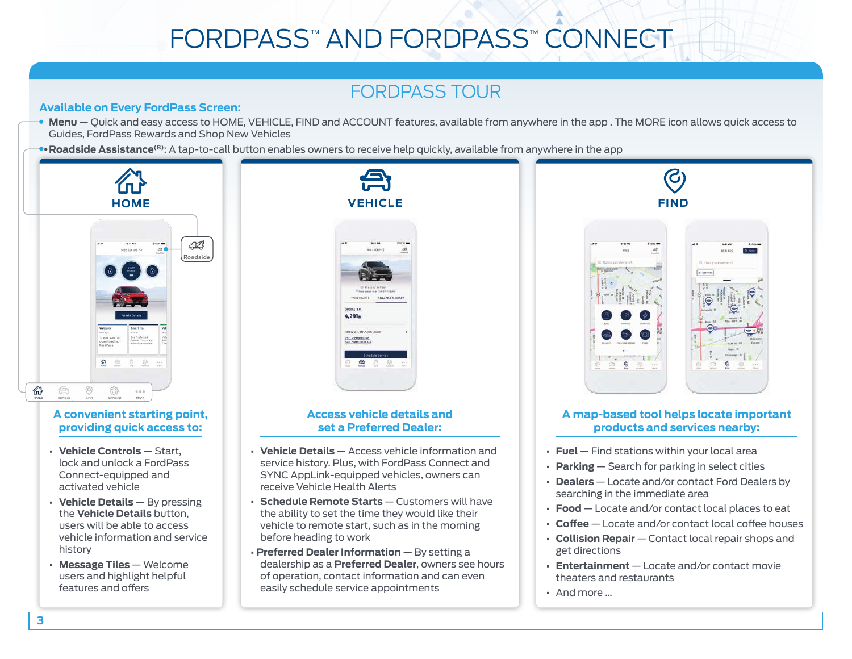# FORDPASS™ AND FORDPASS™ CONNECT

## FORDPASS TOUR

#### **Available on Every FordPass Screen:**

- **Menu** Quick and easy access to HOME, VEHICLE, FIND and ACCOUNT features, available from anywhere in the app . The MORE icon allows quick access to Guides, FordPass Rewards and Shop New Vehicles
- •**Roadside Assistance(8)**: A tap-to-call button enables owners to receive help quickly, available from anywhere in the app



#### **A convenient starting point, providing quick access to:**

- **• Vehicle Controls** Start, lock and unlock a FordPass Connect-equipped and activated vehicle
- **• Vehicle Details** By pressing the **Vehicle Details** button, users will be able to access vehicle information and service history
- **• Message Tiles**  Welcome users and highlight helpful features and offers



#### **Access vehicle details and set a Preferred Dealer:**

- **Vehicle Details**  Access vehicle information and service history. Plus, with FordPass Connect and SYNC AppLink-equipped vehicles, owners can receive Vehicle Health Alerts
- **Schedule Remote Starts** Customers will have the ability to set the time they would like their vehicle to remote start, such as in the morning before heading to work
- **Preferred Dealer Information** By setting a dealership as a **Preferred Dealer**, owners see hours of operation, contact information and can even easily schedule service appointments



#### **A map-based tool helps locate important products and services nearby:**

- **• Fuel**  Find stations within your local area
- **• Parking**  Search for parking in select cities
- **• Dealers**  Locate and/or contact Ford Dealers by searching in the immediate area
- **• Food**  Locate and/or contact local places to eat
- **• Coffee** Locate and/or contact local coffee houses
- **• Collision Repair** Contact local repair shops and get directions
- **• Entertainment** Locate and/or contact movie theaters and restaurants
- **•** And more …